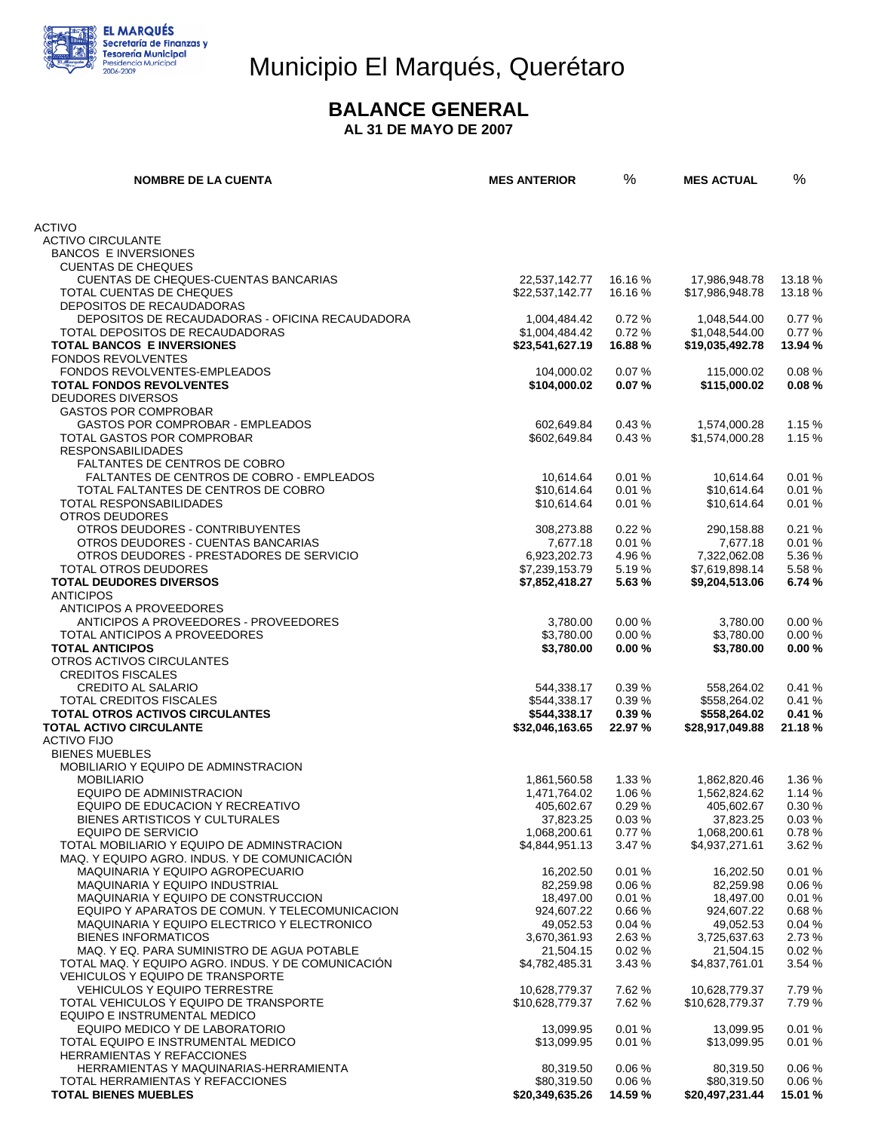

# Municipio El Marqués, Querétaro

#### **BALANCE GENERAL**

 **AL 31 DE MAYO DE 2007** 

| <b>NOMBRE DE LA CUENTA</b>                                                            | <b>MES ANTERIOR</b>              | %                | <b>MES ACTUAL</b>                | %                |
|---------------------------------------------------------------------------------------|----------------------------------|------------------|----------------------------------|------------------|
|                                                                                       |                                  |                  |                                  |                  |
| <b>ACTIVO</b><br><b>ACTIVO CIRCULANTE</b>                                             |                                  |                  |                                  |                  |
| <b>BANCOS E INVERSIONES</b>                                                           |                                  |                  |                                  |                  |
| <b>CUENTAS DE CHEQUES</b>                                                             |                                  |                  |                                  |                  |
| CUENTAS DE CHEQUES-CUENTAS BANCARIAS                                                  | 22,537,142.77                    | 16.16 %          | 17,986,948.78                    | 13.18%           |
| TOTAL CUENTAS DE CHEQUES<br>DEPOSITOS DE RECAUDADORAS                                 | \$22,537,142.77                  | 16.16 %          | \$17,986,948.78                  | 13.18 %          |
| DEPOSITOS DE RECAUDADORAS - OFICINA RECAUDADORA                                       | 1,004,484.42                     | 0.72%            | 1.048.544.00                     | 0.77%            |
| TOTAL DEPOSITOS DE RECAUDADORAS                                                       | \$1,004,484.42                   | 0.72%            | \$1,048,544.00                   | 0.77%            |
| <b>TOTAL BANCOS E INVERSIONES</b>                                                     | \$23,541,627.19                  | 16.88%           | \$19,035,492.78                  | 13.94 %          |
| <b>FONDOS REVOLVENTES</b>                                                             |                                  |                  |                                  |                  |
| <b>FONDOS REVOLVENTES-EMPLEADOS</b><br><b>TOTAL FONDOS REVOLVENTES</b>                | 104,000.02<br>\$104,000.02       | 0.07%<br>0.07%   | 115,000.02<br>\$115,000.02       | 0.08%<br>0.08%   |
| <b>DEUDORES DIVERSOS</b>                                                              |                                  |                  |                                  |                  |
| <b>GASTOS POR COMPROBAR</b>                                                           |                                  |                  |                                  |                  |
| GASTOS POR COMPROBAR - EMPLEADOS                                                      | 602,649.84                       | 0.43%            | 1,574,000.28                     | 1.15 %           |
| TOTAL GASTOS POR COMPROBAR                                                            | \$602,649.84                     | 0.43%            | \$1,574,000.28                   | 1.15 %           |
| <b>RESPONSABILIDADES</b>                                                              |                                  |                  |                                  |                  |
| FALTANTES DE CENTROS DE COBRO<br>FALTANTES DE CENTROS DE COBRO - EMPLEADOS            | 10.614.64                        | 0.01%            | 10,614.64                        | 0.01%            |
| TOTAL FALTANTES DE CENTROS DE COBRO                                                   | \$10,614.64                      | 0.01%            | \$10,614.64                      | 0.01%            |
| TOTAL RESPONSABILIDADES                                                               | \$10.614.64                      | 0.01%            | \$10,614.64                      | 0.01%            |
| OTROS DEUDORES                                                                        |                                  |                  |                                  |                  |
| OTROS DEUDORES - CONTRIBUYENTES                                                       | 308,273.88                       | 0.22%            | 290,158.88                       | 0.21%            |
| OTROS DEUDORES - CUENTAS BANCARIAS<br>OTROS DEUDORES - PRESTADORES DE SERVICIO        | 7,677.18                         | 0.01%            | 7,677.18                         | 0.01%<br>5.36%   |
| TOTAL OTROS DEUDORES                                                                  | 6,923,202.73<br>\$7,239,153.79   | 4.96 %<br>5.19%  | 7,322,062.08<br>\$7,619,898.14   | 5.58 %           |
| <b>TOTAL DEUDORES DIVERSOS</b>                                                        | \$7,852,418.27                   | 5.63%            | \$9,204,513.06                   | 6.74 %           |
| <b>ANTICIPOS</b>                                                                      |                                  |                  |                                  |                  |
| ANTICIPOS A PROVEEDORES                                                               |                                  |                  |                                  |                  |
| ANTICIPOS A PROVEEDORES - PROVEEDORES                                                 | 3,780.00                         | 0.00%            | 3,780.00                         | 0.00%            |
| TOTAL ANTICIPOS A PROVEEDORES<br><b>TOTAL ANTICIPOS</b>                               | \$3,780.00                       | 0.00%            | \$3,780.00                       | 0.00%<br>0.00%   |
| OTROS ACTIVOS CIRCULANTES                                                             | \$3,780.00                       | 0.00%            | \$3,780.00                       |                  |
| <b>CREDITOS FISCALES</b>                                                              |                                  |                  |                                  |                  |
| <b>CREDITO AL SALARIO</b>                                                             | 544,338.17                       | 0.39%            | 558,264.02                       | 0.41%            |
| TOTAL CREDITOS FISCALES                                                               | \$544,338.17                     | 0.39%            | \$558,264.02                     | 0.41%            |
| <b>TOTAL OTROS ACTIVOS CIRCULANTES</b>                                                | \$544,338.17                     | 0.39%            | \$558,264.02                     | 0.41%            |
| <b>TOTAL ACTIVO CIRCULANTE</b><br><b>ACTIVO FIJO</b>                                  | \$32,046,163.65                  | 22.97 %          | \$28,917,049.88                  | 21.18%           |
| <b>BIENES MUEBLES</b>                                                                 |                                  |                  |                                  |                  |
| <b>MOBILIARIO Y EQUIPO DE ADMINSTRACION</b>                                           |                                  |                  |                                  |                  |
| <b>MOBILIARIO</b>                                                                     | 1,861,560.58                     | 1.33%            | 1,862,820.46                     | 1.36 %           |
| EQUIPO DE ADMINISTRACION                                                              | 1,471,764.02                     | 1.06 %           | 1,562,824.62                     | 1.14 %           |
| FOUIPO DE EDUCACION Y RECREATIVO                                                      | 405,602.67                       | 0.29%            | 405,602.67                       | 0.30%            |
| BIENES ARTISTICOS Y CULTURALES<br><b>EQUIPO DE SERVICIO</b>                           | 37,823.25<br>1,068,200.61        | 0.03%<br>0.77%   | 37,823.25<br>1,068,200.61        | 0.03%<br>0.78%   |
| TOTAL MOBILIARIO Y EQUIPO DE ADMINSTRACION                                            | \$4,844,951.13                   | 3.47 %           | \$4,937,271.61                   | 3.62 %           |
| MAQ. Y EQUIPO AGRO. INDUS. Y DE COMUNICACION                                          |                                  |                  |                                  |                  |
| MAQUINARIA Y EQUIPO AGROPECUARIO                                                      | 16,202.50                        | 0.01%            | 16,202.50                        | 0.01%            |
| <b>MAQUINARIA Y EQUIPO INDUSTRIAL</b>                                                 | 82,259.98                        | 0.06%            | 82,259.98                        | 0.06%            |
| MAQUINARIA Y EQUIPO DE CONSTRUCCION<br>EQUIPO Y APARATOS DE COMUN. Y TELECOMUNICACION | 18,497.00<br>924,607.22          | 0.01%<br>0.66%   | 18,497.00<br>924,607.22          | 0.01%<br>0.68%   |
| MAQUINARIA Y EQUIPO ELECTRICO Y ELECTRONICO                                           | 49,052.53                        | 0.04%            | 49,052.53                        | 0.04%            |
| <b>BIENES INFORMATICOS</b>                                                            | 3,670,361.93                     | 2.63%            | 3,725,637.63                     | 2.73%            |
| MAQ. Y EQ. PARA SUMINISTRO DE AGUA POTABLE                                            | 21,504.15                        | 0.02%            | 21,504.15                        | 0.02%            |
| TOTAL MAQ. Y EQUIPO AGRO. INDUS. Y DE COMUNICACIÓN                                    | \$4,782,485.31                   | 3.43 %           | \$4,837,761.01                   | 3.54 %           |
| <b>VEHICULOS Y EQUIPO DE TRANSPORTE</b>                                               |                                  |                  |                                  |                  |
| <b>VEHICULOS Y EQUIPO TERRESTRE</b><br>TOTAL VEHICULOS Y EQUIPO DE TRANSPORTE         | 10,628,779.37<br>\$10,628,779.37 | 7.62 %<br>7.62 % | 10,628,779.37<br>\$10,628,779.37 | 7.79 %<br>7.79%  |
| EQUIPO E INSTRUMENTAL MEDICO                                                          |                                  |                  |                                  |                  |
| EQUIPO MEDICO Y DE LABORATORIO                                                        | 13,099.95                        | 0.01%            | 13,099.95                        | 0.01%            |
| TOTAL EQUIPO E INSTRUMENTAL MEDICO                                                    | \$13,099.95                      | 0.01%            | \$13,099.95                      | 0.01%            |
| HERRAMIENTAS Y REFACCIONES                                                            |                                  |                  |                                  |                  |
| HERRAMIENTAS Y MAQUINARIAS-HERRAMIENTA                                                | 80,319.50                        | 0.06%            | 80,319.50                        | 0.06%            |
| TOTAL HERRAMIENTAS Y REFACCIONES<br><b>TOTAL BIENES MUEBLES</b>                       | \$80,319.50<br>\$20,349,635.26   | 0.06%<br>14.59 % | \$80,319.50<br>\$20,497,231.44   | 0.06%<br>15.01 % |
|                                                                                       |                                  |                  |                                  |                  |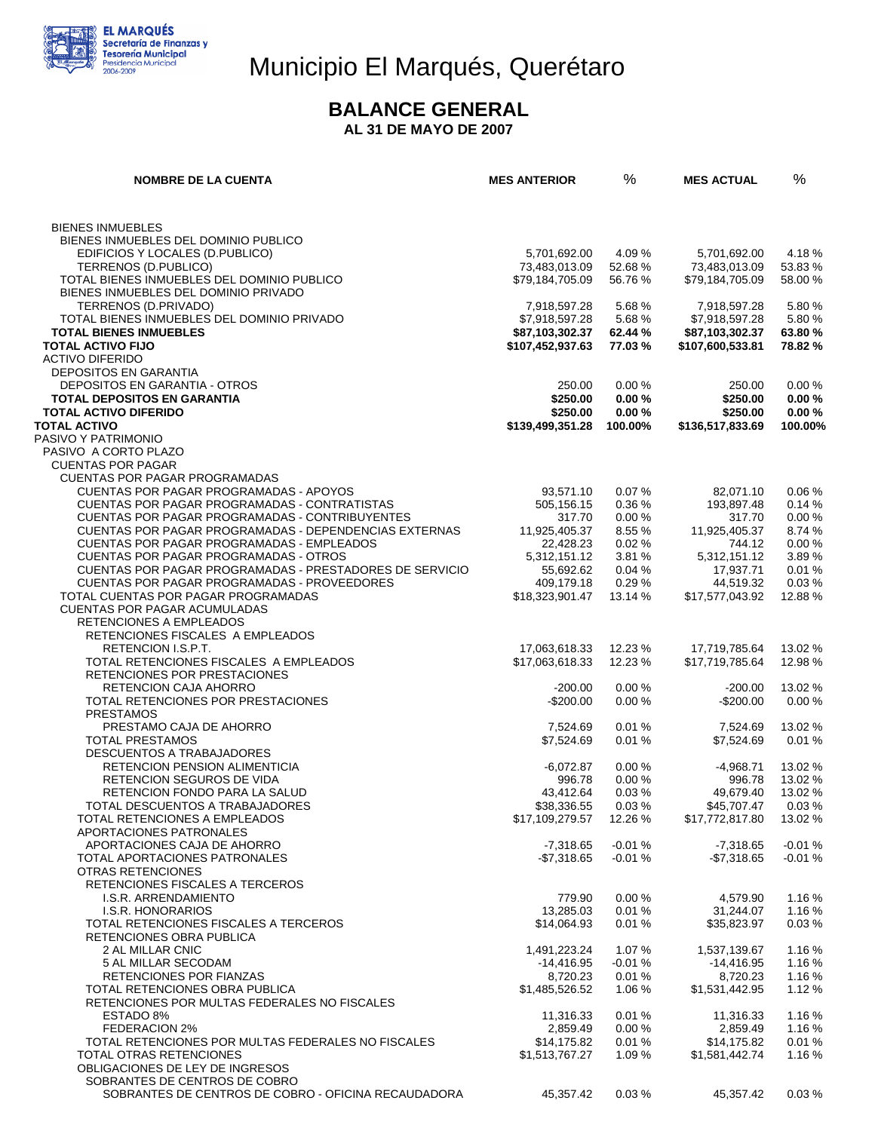

# Municipio El Marqués, Querétaro

#### **BALANCE GENERAL**

 **AL 31 DE MAYO DE 2007** 

| <b>NOMBRE DE LA CUENTA</b>                                                                             | <b>MES ANTERIOR</b>                 | %                 | <b>MES ACTUAL</b>                   | %                 |
|--------------------------------------------------------------------------------------------------------|-------------------------------------|-------------------|-------------------------------------|-------------------|
|                                                                                                        |                                     |                   |                                     |                   |
| <b>BIENES INMUEBLES</b>                                                                                |                                     |                   |                                     |                   |
| BIENES INMUEBLES DEL DOMINIO PUBLICO                                                                   |                                     |                   |                                     |                   |
| EDIFICIOS Y LOCALES (D.PUBLICO)<br>TERRENOS (D.PUBLICO)                                                | 5,701,692.00<br>73,483,013.09       | 4.09 %<br>52.68%  | 5,701,692.00<br>73,483,013.09       | 4.18%<br>53.83%   |
| TOTAL BIENES INMUEBLES DEL DOMINIO PUBLICO                                                             | \$79,184,705.09                     | 56.76 %           | \$79,184,705.09                     | 58.00 %           |
| BIENES INMUEBLES DEL DOMINIO PRIVADO                                                                   |                                     |                   |                                     |                   |
| TERRENOS (D.PRIVADO)                                                                                   | 7,918,597.28                        | 5.68%             | 7,918,597.28                        | 5.80%             |
| TOTAL BIENES INMUEBLES DEL DOMINIO PRIVADO                                                             | \$7,918,597.28                      | 5.68%             | \$7,918,597.28                      | 5.80%             |
| <b>TOTAL BIENES INMUEBLES</b><br><b>TOTAL ACTIVO FIJO</b>                                              | \$87,103,302.37<br>\$107,452,937.63 | 62.44 %<br>77.03% | \$87,103,302.37<br>\$107,600,533.81 | 63.80%<br>78.82 % |
| <b>ACTIVO DIFERIDO</b>                                                                                 |                                     |                   |                                     |                   |
| <b>DEPOSITOS EN GARANTIA</b>                                                                           |                                     |                   |                                     |                   |
| DEPOSITOS EN GARANTIA - OTROS                                                                          | 250.00                              | 0.00%             | 250.00                              | 0.00%             |
| <b>TOTAL DEPOSITOS EN GARANTIA</b>                                                                     | \$250.00                            | 0.00%             | \$250.00                            | 0.00%             |
| <b>TOTAL ACTIVO DIFERIDO</b><br><b>TOTAL ACTIVO</b>                                                    | \$250.00                            | 0.00%             | \$250.00                            | 0.00%<br>100.00%  |
| PASIVO Y PATRIMONIO                                                                                    | \$139,499,351.28                    | 100.00%           | \$136,517,833.69                    |                   |
| PASIVO A CORTO PLAZO                                                                                   |                                     |                   |                                     |                   |
| <b>CUENTAS POR PAGAR</b>                                                                               |                                     |                   |                                     |                   |
| <b>CUENTAS POR PAGAR PROGRAMADAS</b>                                                                   |                                     |                   |                                     |                   |
| CUENTAS POR PAGAR PROGRAMADAS - APOYOS                                                                 | 93,571.10<br>505.156.15             | 0.07%             | 82,071.10                           | 0.06%             |
| CUENTAS POR PAGAR PROGRAMADAS - CONTRATISTAS<br>CUENTAS POR PAGAR PROGRAMADAS - CONTRIBUYENTES         | 317.70                              | 0.36%<br>0.00%    | 193,897.48<br>317.70                | 0.14%<br>0.00%    |
| CUENTAS POR PAGAR PROGRAMADAS - DEPENDENCIAS EXTERNAS                                                  | 11,925,405.37                       | 8.55 %            | 11.925.405.37                       | 8.74 %            |
| <b>CUENTAS POR PAGAR PROGRAMADAS - EMPLEADOS</b>                                                       | 22,428.23                           | 0.02%             | 744.12                              | 0.00%             |
| <b>CUENTAS POR PAGAR PROGRAMADAS - OTROS</b>                                                           | 5.312.151.12                        | 3.81 %            | 5,312,151.12                        | 3.89%             |
| CUENTAS POR PAGAR PROGRAMADAS - PRESTADORES DE SERVICIO<br>CUENTAS POR PAGAR PROGRAMADAS - PROVEEDORES | 55,692.62<br>409,179.18             | 0.04%<br>0.29%    | 17,937.71<br>44,519.32              | 0.01%<br>0.03%    |
| TOTAL CUENTAS POR PAGAR PROGRAMADAS                                                                    | \$18,323,901.47                     | 13.14 %           | \$17,577,043.92                     | 12.88%            |
| <b>CUENTAS POR PAGAR ACUMULADAS</b>                                                                    |                                     |                   |                                     |                   |
| RETENCIONES A EMPLEADOS                                                                                |                                     |                   |                                     |                   |
| RETENCIONES FISCALES A EMPLEADOS                                                                       |                                     |                   |                                     |                   |
| RETENCION I.S.P.T.                                                                                     | 17,063,618.33                       | 12.23 %           | 17,719,785.64                       | 13.02 %           |
| TOTAL RETENCIONES FISCALES A EMPLEADOS<br>RETENCIONES POR PRESTACIONES                                 | \$17,063,618.33                     | 12.23 %           | \$17,719,785.64                     | 12.98 %           |
| RETENCION CAJA AHORRO                                                                                  | $-200.00$                           | 0.00%             | $-200.00$                           | 13.02 %           |
| TOTAL RETENCIONES POR PRESTACIONES                                                                     | $-$200.00$                          | 0.00%             | $-$200.00$                          | 0.00%             |
| <b>PRESTAMOS</b>                                                                                       |                                     |                   |                                     |                   |
| PRESTAMO CAJA DE AHORRO<br><b>TOTAL PRESTAMOS</b>                                                      | 7,524.69<br>\$7,524.69              | 0.01%<br>0.01%    | 7,524.69<br>\$7,524.69              | 13.02 %<br>0.01%  |
| <b>DESCUENTOS A TRABAJADORES</b>                                                                       |                                     |                   |                                     |                   |
| RETENCION PENSION ALIMENTICIA                                                                          | $-6,072.87$                         | 0.00%             | $-4,968.71$                         | 13.02 %           |
| RETENCION SEGUROS DE VIDA                                                                              | 996.78                              | 0.00%             | 996.78                              | 13.02 %           |
| RETENCION FONDO PARA LA SALUD                                                                          | 43,412.64                           | 0.03%             | 49,679.40                           | 13.02 %           |
| TOTAL DESCUENTOS A TRABAJADORES<br>TOTAL RETENCIONES A EMPLEADOS                                       | \$38,336.55<br>\$17,109,279.57      | 0.03%<br>12.26 %  | \$45,707.47<br>\$17,772,817.80      | 0.03%<br>13.02 %  |
| APORTACIONES PATRONALES                                                                                |                                     |                   |                                     |                   |
| APORTACIONES CAJA DE AHORRO                                                                            | $-7,318.65$                         | $-0.01%$          | $-7,318.65$                         | $-0.01%$          |
| TOTAL APORTACIONES PATRONALES                                                                          | $-$7,318.65$                        | $-0.01%$          | -\$7,318.65                         | $-0.01%$          |
| OTRAS RETENCIONES                                                                                      |                                     |                   |                                     |                   |
| RETENCIONES FISCALES A TERCEROS<br>I.S.R. ARRENDAMIENTO                                                | 779.90                              | 0.00%             | 4,579.90                            | 1.16%             |
| I.S.R. HONORARIOS                                                                                      | 13,285.03                           | 0.01%             | 31,244.07                           | 1.16%             |
| TOTAL RETENCIONES FISCALES A TERCEROS                                                                  | \$14,064.93                         | 0.01%             | \$35,823.97                         | 0.03%             |
| RETENCIONES OBRA PUBLICA                                                                               |                                     |                   |                                     |                   |
| 2 AL MILLAR CNIC                                                                                       | 1,491,223.24                        | 1.07 $%$          | 1,537,139.67                        | 1.16%             |
| 5 AL MILLAR SECODAM<br><b>RETENCIONES POR FIANZAS</b>                                                  | -14,416.95<br>8,720.23              | $-0.01%$<br>0.01% | -14,416.95<br>8,720.23              | 1.16%<br>1.16 %   |
| TOTAL RETENCIONES OBRA PUBLICA                                                                         | \$1,485,526.52                      | 1.06 %            | \$1,531,442.95                      | 1.12%             |
| RETENCIONES POR MULTAS FEDERALES NO FISCALES                                                           |                                     |                   |                                     |                   |
| ESTADO 8%                                                                                              | 11,316.33                           | 0.01%             | 11,316.33                           | 1.16%             |
| <b>FEDERACION 2%</b>                                                                                   | 2,859.49                            | 0.00%             | 2,859.49                            | 1.16%             |
| TOTAL RETENCIONES POR MULTAS FEDERALES NO FISCALES<br>TOTAL OTRAS RETENCIONES                          | \$14,175.82<br>\$1,513,767.27       | 0.01%<br>1.09%    | \$14,175.82<br>\$1,581,442.74       | 0.01%<br>1.16 %   |
| OBLIGACIONES DE LEY DE INGRESOS                                                                        |                                     |                   |                                     |                   |
| SOBRANTES DE CENTROS DE COBRO                                                                          |                                     |                   |                                     |                   |
| SOBRANTES DE CENTROS DE COBRO - OFICINA RECAUDADORA                                                    | 45,357.42                           | 0.03%             | 45,357.42                           | 0.03%             |
|                                                                                                        |                                     |                   |                                     |                   |